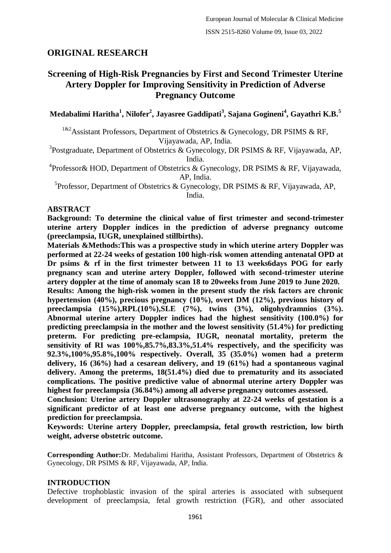# **ORIGINAL RESEARCH**

# **Screening of High-Risk Pregnancies by First and Second Trimester Uterine Artery Doppler for Improving Sensitivity in Prediction of Adverse Pregnancy Outcome**

**Medabalimi Haritha<sup>1</sup> , Nilofer<sup>2</sup> , Jayasree Gaddipati<sup>3</sup> , Sajana Gogineni<sup>4</sup> , Gayathri K.B.<sup>5</sup>**

<sup>1&2</sup>Assistant Professors, Department of Obstetrics & Gynecology, DR PSIMS & RF, Vijayawada, AP, India.

<sup>3</sup>Postgraduate, Department of Obstetrics & Gynecology, DR PSIMS & RF, Vijayawada, AP, India.

<sup>4</sup> Professor & HOD, Department of Obstetrics & Gynecology, DR PSIMS & RF, Vijayawada, AP, India.

<sup>5</sup>Professor, Department of Obstetrics & Gynecology, DR PSIMS & RF, Vijayawada, AP, India.

#### **ABSTRACT**

**Background: To determine the clinical value of first trimester and second-trimester uterine artery Doppler indices in the prediction of adverse pregnancy outcome (preeclampsia, IUGR, unexplained stillbirths).**

**Materials &Methods:This was a prospective study in which uterine artery Doppler was performed at 22-24 weeks of gestation 100 high-risk women attending antenatal OPD at Dr psims & rf in the first trimester between 11 to 13 weeks6days POG for early pregnancy scan and uterine artery Doppler, followed with second-trimester uterine artery doppler at the time of anomaly scan 18 to 20weeks from June 2019 to June 2020.**

**Results: Among the high-risk women in the present study the risk factors are chronic hypertension (40%), precious pregnancy (10%), overt DM (12%), previous history of preeclampsia (15%),RPL(10%),SLE (7%), twins (3%), oligohydramnios (3%). Abnormal uterine artery Doppler indices had the highest sensitivity (100.0%) for predicting preeclampsia in the mother and the lowest sensitivity (51.4%) for predicting preterm. For predicting pre-eclampsia, IUGR, neonatal mortality, preterm the sensitivity of RI was 100%,85.7%,83.3%,51.4% respectively, and the specificity was 92.3%,100%,95.8%,100% respectively. Overall, 35 (35.0%) women had a preterm delivery, 16 (36%) had a cesarean delivery, and 19 (61%) had a spontaneous vaginal delivery. Among the preterms, 18(51.4%) died due to prematurity and its associated complications. The positive predictive value of abnormal uterine artery Doppler was highest for preeclampsia (36.84%) among all adverse pregnancy outcomes assessed.**

**Conclusion: Uterine artery Doppler ultrasonography at 22-24 weeks of gestation is a significant predictor of at least one adverse pregnancy outcome, with the highest prediction for preeclampsia.**

**Keywords: Uterine artery Doppler, preeclampsia, fetal growth restriction, low birth weight, adverse obstetric outcome.**

**Corresponding Author:**Dr. Medabalimi Haritha, Assistant Professors, Department of Obstetrics & Gynecology, DR PSIMS & RF, Vijayawada, AP, India.

### **INTRODUCTION**

Defective trophoblastic invasion of the spiral arteries is associated with subsequent development of preeclampsia, fetal growth restriction (FGR), and other associated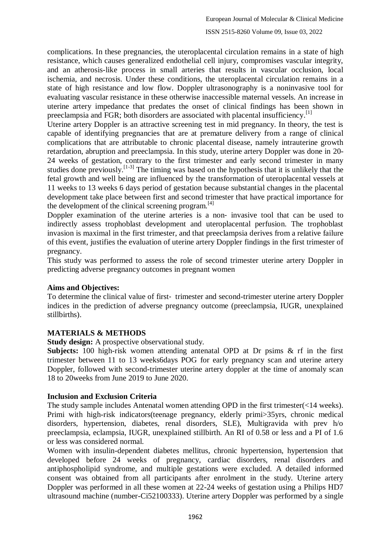complications. In these pregnancies, the uteroplacental circulation remains in a state of high resistance, which causes generalized endothelial cell injury, compromises vascular integrity, and an atherosis-like process in small arteries that results in vascular occlusion, local ischemia, and necrosis. Under these conditions, the uteroplacental circulation remains in a state of high resistance and low flow. Doppler ultrasonography is a noninvasive tool for evaluating vascular resistance in these otherwise inaccessible maternal vessels. An increase in uterine artery impedance that predates the onset of clinical findings has been shown in preeclampsia and FGR; both disorders are associated with placental insufficiency.<sup>[1]</sup>

Uterine artery Doppler is an attractive screening test in mid pregnancy. In theory, the test is capable of identifying pregnancies that are at premature delivery from a range of clinical complications that are attributable to chronic placental disease, namely intrauterine growth retardation, abruption and preeclampsia. In this study, uterine artery Doppler was done in 20- 24 weeks of gestation, contrary to the first trimester and early second trimester in many studies done previously.<sup>[1-3]</sup> The timing was based on the hypothesis that it is unlikely that the fetal growth and well being are influenced by the transformation of uteroplacental vessels at 11 weeks to 13 weeks 6 days period of gestation because substantial changes in the placental development take place between first and second trimester that have practical importance for the development of the clinical screening program.<sup>[4]</sup>

Doppler examination of the uterine arteries is a non- invasive tool that can be used to indirectly assess trophoblast development and uteroplacental perfusion. The trophoblast invasion is maximal in the first trimester, and that preeclampsia derives from a relative failure of this event, justifies the evaluation of uterine artery Doppler findings in the first trimester of pregnancy.

This study was performed to assess the role of second trimester uterine artery Doppler in predicting adverse pregnancy outcomes in pregnant women

### **Aims and Objectives:**

To determine the clinical value of first‐ trimester and second-trimester uterine artery Doppler indices in the prediction of adverse pregnancy outcome (preeclampsia, IUGR, unexplained stillbirths).

### **MATERIALS & METHODS**

**Study design:** A prospective observational study.

**Subjects:** 100 high-risk women attending antenatal OPD at Dr psims & rf in the first trimester between 11 to 13 weeks6days POG for early pregnancy scan and uterine artery Doppler, followed with second-trimester uterine artery doppler at the time of anomaly scan 18 to 20weeks from June 2019 to June 2020.

#### **Inclusion and Exclusion Criteria**

The study sample includes Antenatal women attending OPD in the first trimester(<14 weeks). Primi with high-risk indicators(teenage pregnancy, elderly primi>35yrs, chronic medical disorders, hypertension, diabetes, renal disorders, SLE), Multigravida with prev h/o preeclampsia, eclampsia, IUGR, unexplained stillbirth. An RI of 0.58 or less and a PI of 1.6 or less was considered normal.

Women with insulin-dependent diabetes mellitus, chronic hypertension, hypertension that developed before 24 weeks of pregnancy, cardiac disorders, renal disorders and antiphospholipid syndrome, and multiple gestations were excluded. A detailed informed consent was obtained from all participants after enrolment in the study. Uterine artery Doppler was performed in all these women at 22-24 weeks of gestation using a Philips HD7 ultrasound machine (number-Ci52100333). Uterine artery Doppler was performed by a single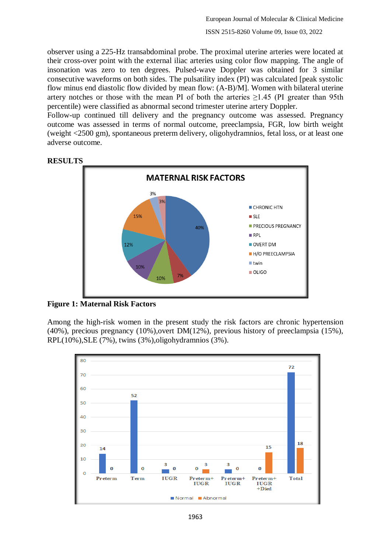observer using a 225-Hz transabdominal probe. The proximal uterine arteries were located at their cross-over point with the external iliac arteries using color flow mapping. The angle of insonation was zero to ten degrees. Pulsed-wave Doppler was obtained for 3 similar consecutive waveforms on both sides. The pulsatility index (PI) was calculated [peak systolic flow minus end diastolic flow divided by mean flow: (A-B)/M]. Women with bilateral uterine artery notches or those with the mean PI of both the arteries  $\geq$ 1.45 (PI greater than 95th percentile) were classified as abnormal second trimester uterine artery Doppler.

Follow-up continued till delivery and the pregnancy outcome was assessed. Pregnancy outcome was assessed in terms of normal outcome, preeclampsia, FGR, low birth weight (weight <2500 gm), spontaneous preterm delivery, oligohydramnios, fetal loss, or at least one adverse outcome.



**RESULTS**

**Figure 1: Maternal Risk Factors**

Among the high-risk women in the present study the risk factors are chronic hypertension (40%), precious pregnancy (10%),overt DM(12%), previous history of preeclampsia (15%), RPL(10%),SLE (7%), twins (3%),oligohydramnios (3%).

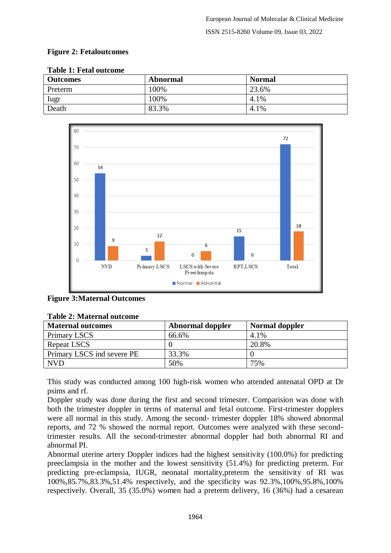## **Figure 2: Fetaloutcomes**

| Taon Te Tenn outcome |                 |               |
|----------------------|-----------------|---------------|
| <b>Outcomes</b>      | <b>Abnormal</b> | <b>Normal</b> |
| Preterm              | 100%            | 23.6%         |
| Iugr                 | 100%            | 4.1%          |
| Death                | 83.3%           | 4.1%          |

#### **Table 1: Fetal outcome**



#### **Figure 3:Maternal Outcomes**

| Tayle 2: March Hai Valcome |                         |                |  |
|----------------------------|-------------------------|----------------|--|
| <b>Maternal outcomes</b>   | <b>Abnormal doppler</b> | Normal doppler |  |
| Primary LSCS               | 66.6%                   | 4.1%           |  |
| Repeat LSCS                |                         | 20.8%          |  |
| Primary LSCS ind severe PE | 33.3%                   |                |  |
| <b>NVD</b>                 | 50%                     | 75%            |  |

#### **Table 2: Maternal outcome**

This study was conducted among 100 high-risk women who attended antenatal OPD at Dr psims and rf.

Doppler study was done during the first and second trimester. Comparision was done with both the trimester doppler in terms of maternal and fetal outcome. First-trimester dopplers were all normal in this study. Among the second- trimester doppler 18% showed abnormal reports, and 72 % showed the normal report. Outcomes were analyzed with these secondtrimester results. All the second-trimester abnormal doppler had both abnormal RI and abnormal PI.

Abnormal uterine artery Doppler indices had the highest sensitivity (100.0%) for predicting preeclampsia in the mother and the lowest sensitivity (51.4%) for predicting preterm. For predicting pre-eclampsia, IUGR, neonatal mortality,preterm the sensitivity of RI was 100%,85.7%,83.3%,51.4% respectively, and the specificity was 92.3%,100%,95.8%,100% respectively. Overall, 35 (35.0%) women had a preterm delivery, 16 (36%) had a cesarean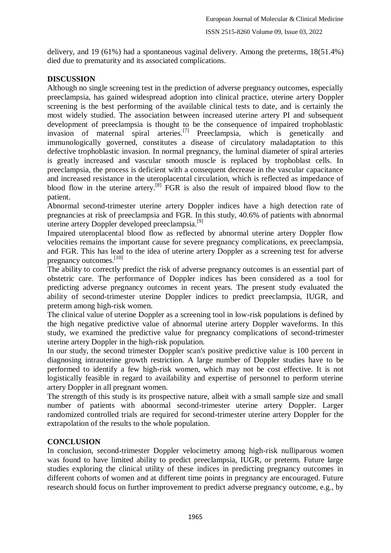delivery, and 19 (61%) had a spontaneous vaginal delivery. Among the preterms, 18(51.4%) died due to prematurity and its associated complications.

# **DISCUSSION**

Although no single screening test in the prediction of adverse pregnancy outcomes, especially preeclampsia, has gained widespread adoption into clinical practice, uterine artery Doppler screening is the best performing of the available clinical tests to date, and is certainly the most widely studied. The association between increased uterine artery PI and subsequent development of preeclampsia is thought to be the consequence of impaired trophoblastic invasion of maternal spiral arteries.<sup>[7]</sup> Preeclampsia, which is genetically and immunologically governed, constitutes a disease of circulatory maladaptation to this defective trophoblastic invasion. In normal pregnancy, the luminal diameter of spiral arteries is greatly increased and vascular smooth muscle is replaced by trophoblast cells. In preeclampsia, the process is deficient with a consequent decrease in the vascular capacitance and increased resistance in the uteroplacental circulation, which is reflected as impedance of blood flow in the uterine artery.<sup>[8]</sup>  $\overline{FGR}$  is also the result of impaired blood flow to the patient.

Abnormal second-trimester uterine artery Doppler indices have a high detection rate of pregnancies at risk of preeclampsia and FGR. In this study, 40.6% of patients with abnormal uterine artery Doppler developed preeclampsia.<sup>[9]</sup>

Impaired uteroplacental blood flow as reflected by abnormal uterine artery Doppler flow velocities remains the important cause for severe pregnancy complications, ex preeclampsia, and FGR. This has lead to the idea of uterine artery Doppler as a screening test for adverse pregnancy outcomes.<sup>[10]</sup>

The ability to correctly predict the risk of adverse pregnancy outcomes is an essential part of obstetric care. The performance of Doppler indices has been considered as a tool for predicting adverse pregnancy outcomes in recent years. The present study evaluated the ability of second-trimester uterine Doppler indices to predict preeclampsia, IUGR, and preterm among high-risk women.

The clinical value of uterine Doppler as a screening tool in low-risk populations is defined by the high negative predictive value of abnormal uterine artery Doppler waveforms. In this study, we examined the predictive value for pregnancy complications of second-trimester uterine artery Doppler in the high-risk population.

In our study, the second trimester Doppler scan's positive predictive value is 100 percent in diagnosing intrauterine growth restriction. A large number of Doppler studies have to be performed to identify a few high-risk women, which may not be cost effective. It is not logistically feasible in regard to availability and expertise of personnel to perform uterine artery Doppler in all pregnant women.

The strength of this study is its prospective nature, albeit with a small sample size and small number of patients with abnormal second-trimester uterine artery Doppler. Larger randomized controlled trials are required for second-trimester uterine artery Doppler for the extrapolation of the results to the whole population.

# **CONCLUSION**

In conclusion, second-trimester Doppler velocimetry among high-risk nulliparous women was found to have limited ability to predict preeclampsia, IUGR, or preterm. Future large studies exploring the clinical utility of these indices in predicting pregnancy outcomes in different cohorts of women and at different time points in pregnancy are encouraged. Future research should focus on further improvement to predict adverse pregnancy outcome, e.g., by